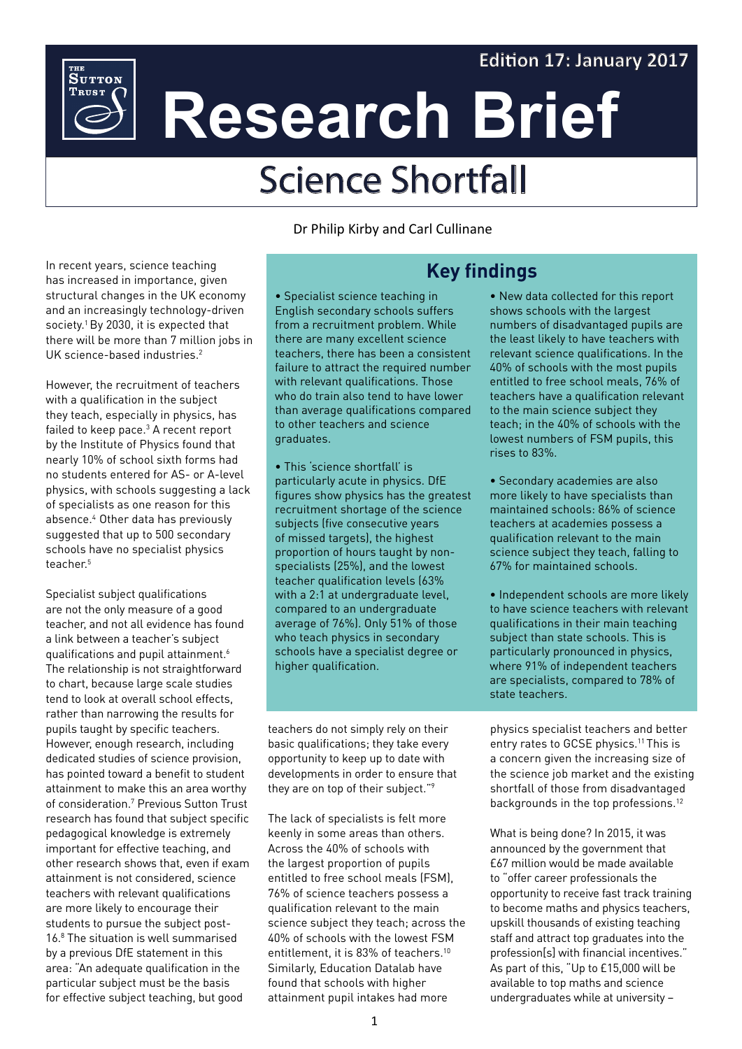# **Edition 17: January 2017**



# Science Shortfall

In recent years, science teaching has increased in importance, given structural changes in the UK economy and an increasingly technology-driven society.<sup>1</sup> By 2030, it is expected that there will be more than 7 million jobs in UK science-based industries.<sup>2</sup>

<sup>THE</sup><br>Sutton **TRUST** 

However, the recruitment of teachers with a qualification in the subject they teach, especially in physics, has failed to keep pace.<sup>3</sup> A recent report by the Institute of Physics found that nearly 10% of school sixth forms had no students entered for AS- or A-level physics, with schools suggesting a lack of specialists as one reason for this absence.4 Other data has previously suggested that up to 500 secondary schools have no specialist physics teacher.5

Specialist subject qualifications are not the only measure of a good teacher, and not all evidence has found a link between a teacher's subject qualifications and pupil attainment.6 The relationship is not straightforward to chart, because large scale studies tend to look at overall school effects, rather than narrowing the results for pupils taught by specific teachers. However, enough research, including dedicated studies of science provision, has pointed toward a benefit to student attainment to make this an area worthy of consideration.7 Previous Sutton Trust research has found that subject specific pedagogical knowledge is extremely important for effective teaching, and other research shows that, even if exam attainment is not considered, science teachers with relevant qualifications are more likely to encourage their students to pursue the subject post-16.8 The situation is well summarised by a previous DfE statement in this area: "An adequate qualification in the particular subject must be the basis for effective subject teaching, but good

Dr Philip Kirby and Carl Cullinane

# **Key findings**

• Specialist science teaching in English secondary schools suffers from a recruitment problem. While there are many excellent science teachers, there has been a consistent failure to attract the required number with relevant qualifications. Those who do train also tend to have lower than average qualifications compared to other teachers and science graduates.

• This 'science shortfall' is particularly acute in physics. DfE figures show physics has the greatest recruitment shortage of the science subjects (five consecutive years of missed targets), the highest proportion of hours taught by nonspecialists (25%), and the lowest teacher qualification levels (63% with a 2:1 at undergraduate level, compared to an undergraduate average of 76%). Only 51% of those who teach physics in secondary schools have a specialist degree or higher qualification.

teachers do not simply rely on their basic qualifications; they take every opportunity to keep up to date with developments in order to ensure that they are on top of their subject."9

The lack of specialists is felt more keenly in some areas than others. Across the 40% of schools with the largest proportion of pupils entitled to free school meals (FSM), 76% of science teachers possess a qualification relevant to the main science subject they teach; across the 40% of schools with the lowest FSM entitlement, it is 83% of teachers.<sup>10</sup> Similarly, Education Datalab have found that schools with higher attainment pupil intakes had more

• New data collected for this report shows schools with the largest numbers of disadvantaged pupils are the least likely to have teachers with relevant science qualifications. In the 40% of schools with the most pupils entitled to free school meals, 76% of teachers have a qualification relevant to the main science subject they teach; in the 40% of schools with the lowest numbers of FSM pupils, this rises to 83%.

• Secondary academies are also more likely to have specialists than maintained schools: 86% of science teachers at academies possess a qualification relevant to the main science subject they teach, falling to 67% for maintained schools.

• Independent schools are more likely to have science teachers with relevant qualifications in their main teaching subject than state schools. This is particularly pronounced in physics, where 91% of independent teachers are specialists, compared to 78% of state teachers.

physics specialist teachers and better entry rates to GCSE physics.<sup>11</sup> This is a concern given the increasing size of the science job market and the existing shortfall of those from disadvantaged backgrounds in the top professions.12

What is being done? In 2015, it was announced by the government that £67 million would be made available to "offer career professionals the opportunity to receive fast track training to become maths and physics teachers, upskill thousands of existing teaching staff and attract top graduates into the profession[s] with financial incentives." As part of this, "Up to £15,000 will be available to top maths and science undergraduates while at university –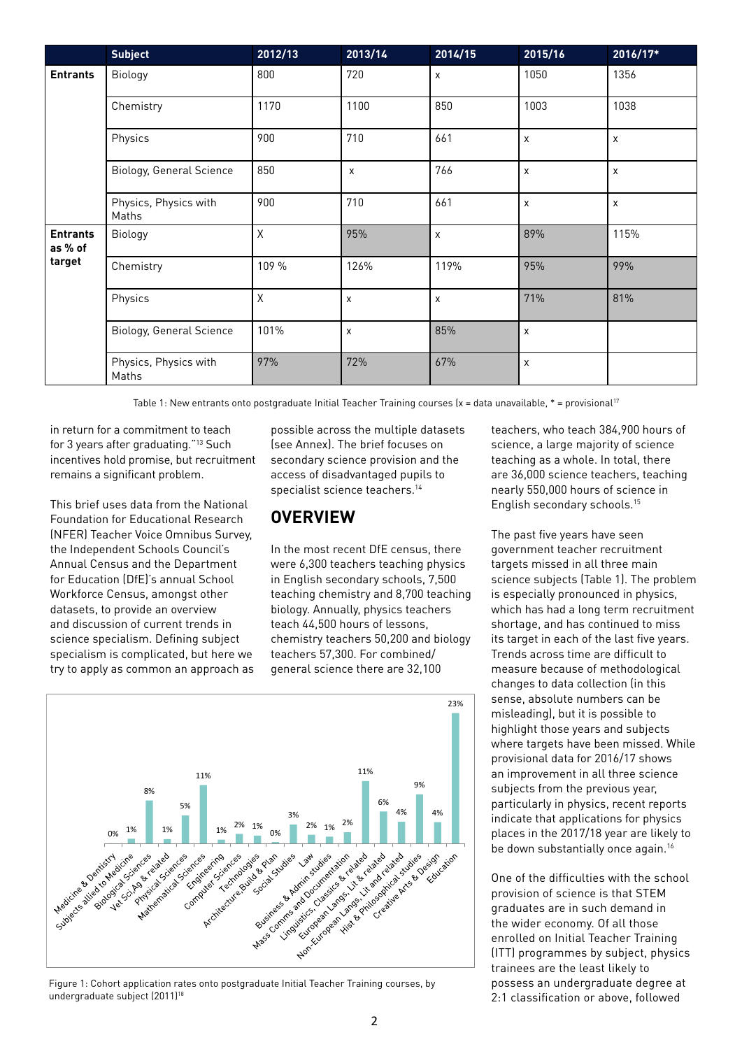|                                      | <b>Subject</b>                  | 2012/13     | 2013/14        | 2014/15 | 2015/16 | 2016/17* |
|--------------------------------------|---------------------------------|-------------|----------------|---------|---------|----------|
| <b>Entrants</b>                      | Biology                         | 800         | 720            | X       | 1050    | 1356     |
|                                      | Chemistry                       | 1170        | 1100           | 850     | 1003    | 1038     |
|                                      | Physics                         | 900         | 710            | 661     | X       | X        |
|                                      | <b>Biology, General Science</b> | 850         | $\pmb{\times}$ | 766     | X       | X        |
|                                      | Physics, Physics with<br>Maths  | 900         | 710            | 661     | X       | X        |
| <b>Entrants</b><br>as % of<br>target | Biology                         | Χ           | 95%            | X       | 89%     | 115%     |
|                                      | Chemistry                       | 109 %       | 126%           | 119%    | 95%     | 99%      |
|                                      | Physics                         | $\mathsf X$ | X              | X       | 71%     | 81%      |
|                                      | <b>Biology, General Science</b> | 101%        | X              | 85%     | X       |          |
|                                      | Physics, Physics with<br>Maths  | 97%         | 72%            | 67%     | X       |          |

Table 1: New entrants onto postgraduate Initial Teacher Training courses  $(x = data unavailable, * = proxisional<sup>17</sup>$ 

in return for a commitment to teach for 3 years after graduating."13 Such incentives hold promise, but recruitment remains a significant problem.

This brief uses data from the National Foundation for Educational Research (NFER) Teacher Voice Omnibus Survey, the Independent Schools Council's Annual Census and the Department for Education (DfE)'s annual School Workforce Census, amongst other datasets, to provide an overview and discussion of current trends in science specialism. Defining subject specialism is complicated, but here we try to apply as common an approach as

possible across the multiple datasets (see Annex). The brief focuses on secondary science provision and the access of disadvantaged pupils to specialist science teachers.<sup>14</sup>

## **OVERVIEW**

In the most recent DfE census, there were 6,300 teachers teaching physics in English secondary schools, 7,500 teaching chemistry and 8,700 teaching biology. Annually, physics teachers teach 44,500 hours of lessons, chemistry teachers 50,200 and biology teachers 57,300. For combined/ general science there are 32,100

teachers, who teach 384,900 hours of science, a large majority of science teaching as a whole. In total, there are 36,000 science teachers, teaching nearly 550,000 hours of science in English secondary schools.15

The past five years have seen government teacher recruitment targets missed in all three main science subjects (Table 1). The problem is especially pronounced in physics, which has had a long term recruitment shortage, and has continued to miss its target in each of the last five years. Trends across time are difficult to measure because of methodological changes to data collection (in this sense, absolute numbers can be misleading), but it is possible to highlight those years and subjects where targets have been missed. While provisional data for 2016/17 shows an improvement in all three science subjects from the previous year, particularly in physics, recent reports indicate that applications for physics places in the 2017/18 year are likely to be down substantially once again.<sup>16</sup>

One of the difficulties with the school provision of science is that STEM graduates are in such demand in the wider economy. Of all those enrolled on Initial Teacher Training (ITT) programmes by subject, physics trainees are the least likely to possess an undergraduate degree at 2:1 classification or above, followed



Figure 1: Cohort application rates onto postgraduate Initial Teacher Training courses, by undergraduate subject (2011)<sup>18</sup>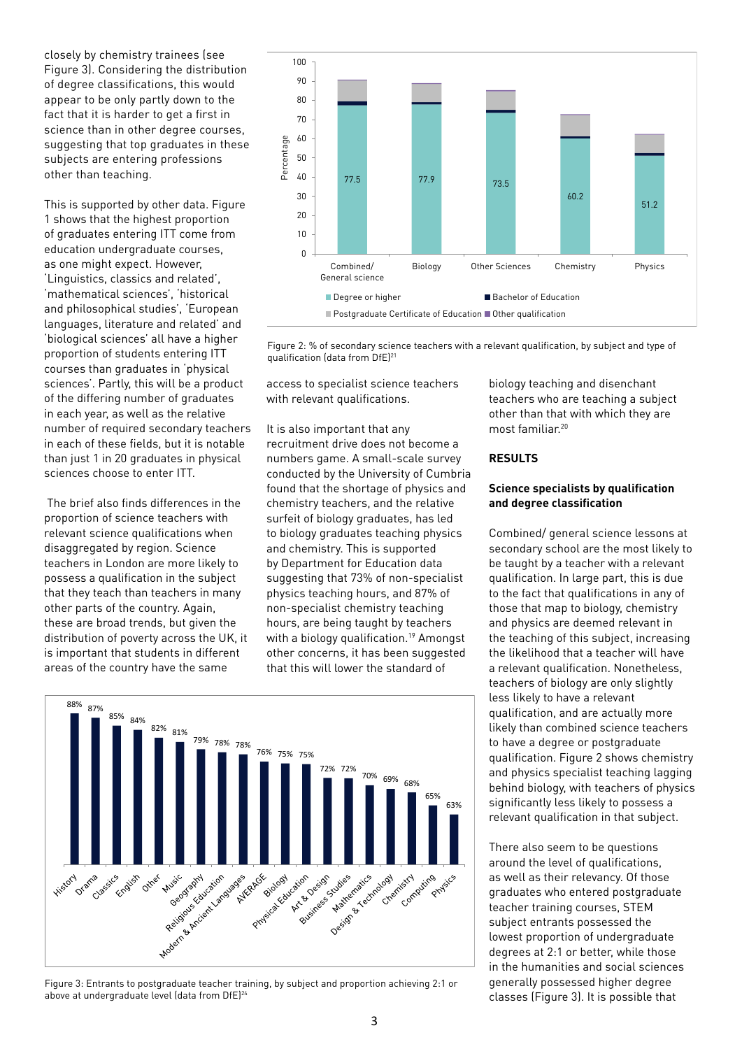closely by chemistry trainees (see Figure 3). Considering the distribution of degree classifications, this would appear to be only partly down to the fact that it is harder to get a first in science than in other degree courses, suggesting that top graduates in these subjects are entering professions other than teaching.

This is supported by other data. Figure 1 shows that the highest proportion of graduates entering ITT come from education undergraduate courses, as one might expect. However, 'Linguistics, classics and related', 'mathematical sciences', 'historical and philosophical studies', 'European languages, literature and related' and 'biological sciences' all have a higher proportion of students entering ITT courses than graduates in 'physical sciences'. Partly, this will be a product of the differing number of graduates in each year, as well as the relative number of required secondary teachers in each of these fields, but it is notable than just 1 in 20 graduates in physical sciences choose to enter ITT.

 The brief also finds differences in the proportion of science teachers with relevant science qualifications when disaggregated by region. Science teachers in London are more likely to possess a qualification in the subject that they teach than teachers in many other parts of the country. Again, these are broad trends, but given the distribution of poverty across the UK, it is important that students in different areas of the country have the same



Figure 2: % of secondary science teachers with a relevant qualification, by subject and type of qualification (data from DfE)<sup>21</sup>

access to specialist science teachers with relevant qualifications.

It is also important that any recruitment drive does not become a numbers game. A small-scale survey conducted by the University of Cumbria found that the shortage of physics and chemistry teachers, and the relative surfeit of biology graduates, has led to biology graduates teaching physics and chemistry. This is supported by Department for Education data suggesting that 73% of non-specialist physics teaching hours, and 87% of non-specialist chemistry teaching hours, are being taught by teachers with a biology qualification.19 Amongst other concerns, it has been suggested that this will lower the standard of



Figure 3: Entrants to postgraduate teacher training, by subject and proportion achieving 2:1 or above at undergraduate level (data from DfE)<sup>24</sup>

biology teaching and disenchant teachers who are teaching a subject other than that with which they are most familiar.<sup>20</sup>

#### **RESULTS**

## **Science specialists by qualification and degree classification**

Combined/ general science lessons at secondary school are the most likely to be taught by a teacher with a relevant qualification. In large part, this is due to the fact that qualifications in any of those that map to biology, chemistry and physics are deemed relevant in the teaching of this subject, increasing the likelihood that a teacher will have a relevant qualification. Nonetheless, teachers of biology are only slightly less likely to have a relevant qualification, and are actually more likely than combined science teachers to have a degree or postgraduate qualification. Figure 2 shows chemistry and physics specialist teaching lagging behind biology, with teachers of physics significantly less likely to possess a relevant qualification in that subject.

There also seem to be questions around the level of qualifications, as well as their relevancy. Of those graduates who entered postgraduate teacher training courses, STEM subject entrants possessed the lowest proportion of undergraduate degrees at 2:1 or better, while those in the humanities and social sciences generally possessed higher degree classes (Figure 3). It is possible that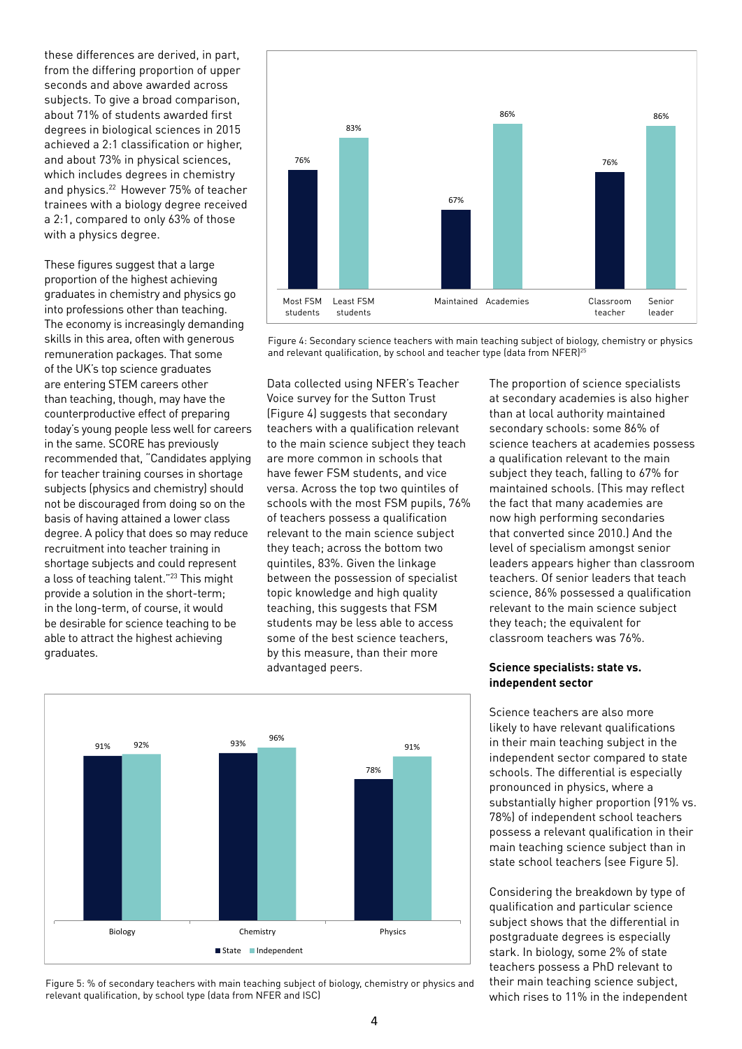Figure 5: % of secondary teachers with main teaching subject of biology, chemistry or physics and relevant qualification, by school type (data from NFER and ISC)

 $\Delta$ 

from the differing proportion of upper seconds and above awarded across subjects. To give a broad comparison, about 71% of students awarded first degrees in biological sciences in 2015 achieved a 2:1 classification or higher, and about 73% in physical sciences, which includes degrees in chemistry and physics.<sup>22</sup> However 75% of teacher trainees with a biology degree received a 2:1, compared to only 63% of those with a physics degree.

these differences are derived, in part,

These figures suggest that a large proportion of the highest achieving graduates in chemistry and physics go into professions other than teaching. The economy is increasingly demanding skills in this area, often with generous remuneration packages. That some of the UK's top science graduates are entering STEM careers other than teaching, though, may have the counterproductive effect of preparing today's young people less well for careers in the same. SCORE has previously recommended that, "Candidates applying for teacher training courses in shortage subjects (physics and chemistry) should not be discouraged from doing so on the basis of having attained a lower class degree. A policy that does so may reduce recruitment into teacher training in shortage subjects and could represent a loss of teaching talent."23 This might provide a solution in the short-term; in the long-term, of course, it would be desirable for science teaching to be able to attract the highest achieving graduates.

Data collected using NFER's Teacher Voice survey for the Sutton Trust (Figure 4) suggests that secondary teachers with a qualification relevant to the main science subject they teach are more common in schools that have fewer FSM students, and vice versa. Across the top two quintiles of schools with the most FSM pupils, 76% of teachers possess a qualification relevant to the main science subject they teach; across the bottom two quintiles, 83%. Given the linkage between the possession of specialist topic knowledge and high quality teaching, this suggests that FSM students may be less able to access some of the best science teachers, by this measure, than their more advantaged peers.

# **Science specialists: state vs. independent sector**

Science teachers are also more likely to have relevant qualifications in their main teaching subject in the independent sector compared to state schools. The differential is especially pronounced in physics, where a substantially higher proportion (91% vs. 78%) of independent school teachers possess a relevant qualification in their main teaching science subject than in state school teachers (see Figure 5).

Considering the breakdown by type of qualification and particular science subject shows that the differential in postgraduate degrees is especially stark. In biology, some 2% of state teachers possess a PhD relevant to their main teaching science subject, which rises to 11% in the independent

# Figure 4: Secondary science teachers with main teaching subject of biology, chemistry or physics

The proportion of science specialists at secondary academies is also higher than at local authority maintained secondary schools: some 86% of science teachers at academies possess a qualification relevant to the main subject they teach, falling to 67% for maintained schools. (This may reflect the fact that many academies are now high performing secondaries that converted since 2010.) And the level of specialism amongst senior leaders appears higher than classroom teachers. Of senior leaders that teach science, 86% possessed a qualification relevant to the main science subject they teach; the equivalent for classroom teachers was 76%.



and relevant qualification, by school and teacher type (data from NFER)<sup>25</sup>

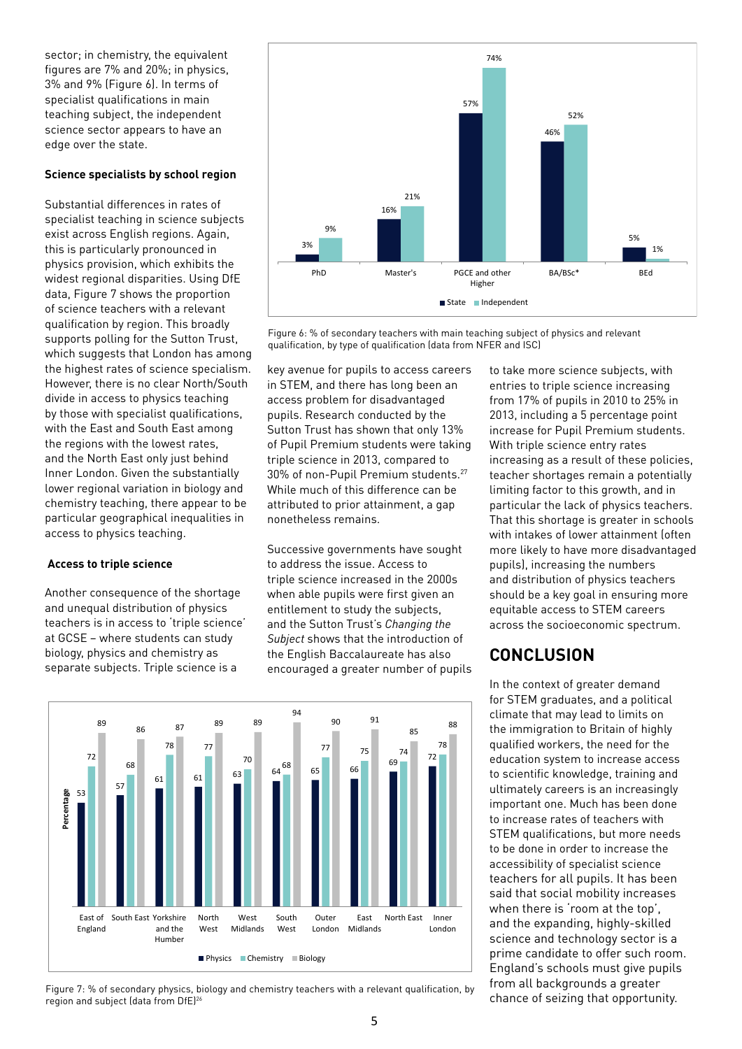sector; in chemistry, the equivalent figures are 7% and 20%; in physics, 3% and 9% (Figure 6). In terms of specialist qualifications in main teaching subject, the independent science sector appears to have an edge over the state.

## **Science specialists by school region**

Substantial differences in rates of specialist teaching in science subjects exist across English regions. Again, this is particularly pronounced in physics provision, which exhibits the widest regional disparities. Using DfE data, Figure 7 shows the proportion of science teachers with a relevant qualification by region. This broadly supports polling for the Sutton Trust, which suggests that London has among the highest rates of science specialism. However, there is no clear North/South divide in access to physics teaching by those with specialist qualifications, with the East and South East among the regions with the lowest rates, and the North East only just behind Inner London. Given the substantially lower regional variation in biology and chemistry teaching, there appear to be particular geographical inequalities in access to physics teaching.

## **Access to triple science**

Another consequence of the shortage and unequal distribution of physics teachers is in access to 'triple science' at GCSE – where students can study biology, physics and chemistry as separate subjects. Triple science is a



Figure 6: % of secondary teachers with main teaching subject of physics and relevant qualification, by type of qualification (data from NFER and ISC)

key avenue for pupils to access careers in STEM, and there has long been an access problem for disadvantaged pupils. Research conducted by the Sutton Trust has shown that only 13% of Pupil Premium students were taking triple science in 2013, compared to 30% of non-Pupil Premium students.27 While much of this difference can be attributed to prior attainment, a gap nonetheless remains.

Successive governments have sought to address the issue. Access to triple science increased in the 2000s when able pupils were first given an entitlement to study the subjects, and the Sutton Trust's *Changing the Subject* shows that the introduction of the English Baccalaureate has also encouraged a greater number of pupils

entries to triple science increasing from 17% of pupils in 2010 to 25% in 2013, including a 5 percentage point increase for Pupil Premium students. With triple science entry rates increasing as a result of these policies, teacher shortages remain a potentially limiting factor to this growth, and in particular the lack of physics teachers. That this shortage is greater in schools with intakes of lower attainment (often more likely to have more disadvantaged pupils), increasing the numbers and distribution of physics teachers should be a key goal in ensuring more equitable access to STEM careers across the socioeconomic spectrum.

to take more science subjects, with

# **CONCLUSION**

In the context of greater demand for STEM graduates, and a political climate that may lead to limits on the immigration to Britain of highly qualified workers, the need for the education system to increase access to scientific knowledge, training and ultimately careers is an increasingly important one. Much has been done to increase rates of teachers with STEM qualifications, but more needs to be done in order to increase the accessibility of specialist science teachers for all pupils. It has been said that social mobility increases when there is 'room at the top', and the expanding, highly-skilled science and technology sector is a prime candidate to offer such room. England's schools must give pupils from all backgrounds a greater



Figure 7: % of secondary physics, biology and chemistry teachers with a relevant qualification, by The Multimed Chance of seizing that opportunity. region and subject (data from DfE)26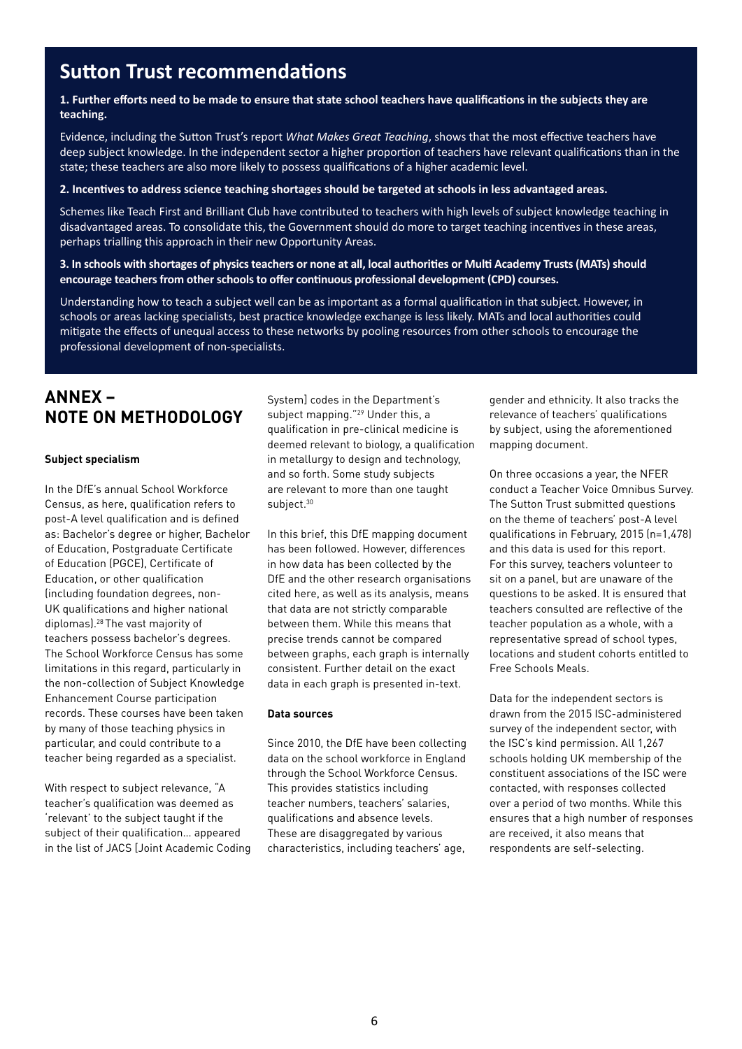# **Sutton Trust recommendations**

## **1. Further efforts need to be made to ensure that state school teachers have qualifications in the subjects they are teaching.**

Evidence, including the Sutton Trust's report *What Makes Great Teaching*, shows that the most effective teachers have deep subject knowledge. In the independent sector a higher proportion of teachers have relevant qualifications than in the state; these teachers are also more likely to possess qualifications of a higher academic level.

## **2. Incentives to address science teaching shortages should be targeted at schools in less advantaged areas.**

Schemes like Teach First and Brilliant Club have contributed to teachers with high levels of subject knowledge teaching in disadvantaged areas. To consolidate this, the Government should do more to target teaching incentives in these areas, perhaps trialling this approach in their new Opportunity Areas.

#### **3. In schools with shortages of physics teachers or none at all, local authorities or Multi Academy Trusts (MATs) should encourage teachers from other schools to offer continuous professional development (CPD) courses.**

Understanding how to teach a subject well can be as important as a formal qualification in that subject. However, in schools or areas lacking specialists, best practice knowledge exchange is less likely. MATs and local authorities could mitigate the effects of unequal access to these networks by pooling resources from other schools to encourage the professional development of non-specialists.

# **ANNEX – NOTE ON METHODOLOGY**

#### **Subject specialism**

In the DfE's annual School Workforce Census, as here, qualification refers to post-A level qualification and is defined as: Bachelor's degree or higher, Bachelor of Education, Postgraduate Certificate of Education (PGCE), Certificate of Education, or other qualification (including foundation degrees, non-UK qualifications and higher national diplomas).28 The vast majority of teachers possess bachelor's degrees. The School Workforce Census has some limitations in this regard, particularly in the non-collection of Subject Knowledge Enhancement Course participation records. These courses have been taken by many of those teaching physics in particular, and could contribute to a teacher being regarded as a specialist.

With respect to subject relevance, "A teacher's qualification was deemed as 'relevant' to the subject taught if the subject of their qualification… appeared in the list of JACS [Joint Academic Coding System] codes in the Department's subject mapping."<sup>29</sup> Under this, a qualification in pre-clinical medicine is deemed relevant to biology, a qualification in metallurgy to design and technology, and so forth. Some study subjects are relevant to more than one taught subject.<sup>30</sup>

In this brief, this DfE mapping document has been followed. However, differences in how data has been collected by the DfE and the other research organisations cited here, as well as its analysis, means that data are not strictly comparable between them. While this means that precise trends cannot be compared between graphs, each graph is internally consistent. Further detail on the exact data in each graph is presented in-text.

## **Data sources**

Since 2010, the DfE have been collecting data on the school workforce in England through the School Workforce Census. This provides statistics including teacher numbers, teachers' salaries, qualifications and absence levels. These are disaggregated by various characteristics, including teachers' age,

gender and ethnicity. It also tracks the relevance of teachers' qualifications by subject, using the aforementioned mapping document.

On three occasions a year, the NFER conduct a Teacher Voice Omnibus Survey. The Sutton Trust submitted questions on the theme of teachers' post-A level qualifications in February, 2015 (n=1,478) and this data is used for this report. For this survey, teachers volunteer to sit on a panel, but are unaware of the questions to be asked. It is ensured that teachers consulted are reflective of the teacher population as a whole, with a representative spread of school types, locations and student cohorts entitled to Free Schools Meals.

Data for the independent sectors is drawn from the 2015 ISC-administered survey of the independent sector, with the ISC's kind permission. All 1,267 schools holding UK membership of the constituent associations of the ISC were contacted, with responses collected over a period of two months. While this ensures that a high number of responses are received, it also means that respondents are self-selecting.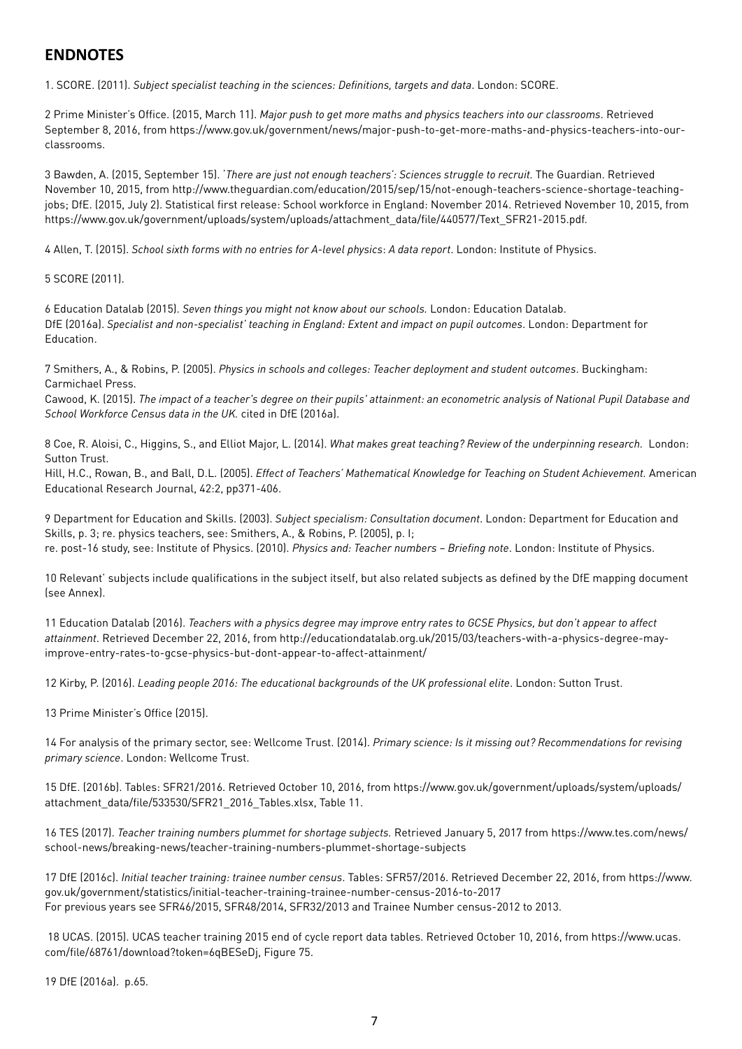# **ENDNOTES**

1. SCORE. (2011). *Subject specialist teaching in the sciences: Definitions, targets and data*. London: SCORE.

2 Prime Minister's Office. (2015, March 11). *Major push to get more maths and physics teachers into our classrooms*. Retrieved September 8, 2016, from https://www.gov.uk/government/news/major-push-to-get-more-maths-and-physics-teachers-into-ourclassrooms.

3 Bawden, A. (2015, September 15). '*There are just not enough teachers': Sciences struggle to recruit.* The Guardian. Retrieved November 10, 2015, from http://www.theguardian.com/education/2015/sep/15/not-enough-teachers-science-shortage-teachingjobs; DfE. (2015, July 2). Statistical first release: School workforce in England: November 2014. Retrieved November 10, 2015, from https://www.gov.uk/government/uploads/system/uploads/attachment\_data/file/440577/Text\_SFR21-2015.pdf.

4 Allen, T. (2015). *School sixth forms with no entries for A-level physics*: *A data report*. London: Institute of Physics.

5 SCORE (2011).

6 Education Datalab (2015). *Seven things you might not know about our schools.* London: Education Datalab. DfE (2016a). *Specialist and non-specialist' teaching in England: Extent and impact on pupil outcomes*. London: Department for Education.

7 Smithers, A., & Robins, P. (2005). *Physics in schools and colleges: Teacher deployment and student outcomes*. Buckingham: Carmichael Press.

Cawood, K. (2015). *The impact of a teacher's degree on their pupils' attainment: an econometric analysis of National Pupil Database and School Workforce Census data in the UK.* cited in DfE (2016a).

8 Coe, R. Aloisi, C., Higgins, S., and Elliot Major, L. (2014). *What makes great teaching? Review of the underpinning research.* London: Sutton Trust.

Hill, H.C., Rowan, B., and Ball, D.L. (2005). *Effect of Teachers' Mathematical Knowledge for Teaching on Student Achievement.* American Educational Research Journal, 42:2, pp371-406.

9 Department for Education and Skills. (2003). *Subject specialism: Consultation document*. London: Department for Education and Skills, p. 3; re. physics teachers, see: Smithers, A., & Robins, P. (2005), p. I; re. post-16 study, see: Institute of Physics. (2010). *Physics and: Teacher numbers – Briefing note*. London: Institute of Physics.

10 Relevant' subjects include qualifications in the subject itself, but also related subjects as defined by the DfE mapping document (see Annex).

11 Education Datalab (2016). *Teachers with a physics degree may improve entry rates to GCSE Physics, but don't appear to affect attainment*. Retrieved December 22, 2016, from http://educationdatalab.org.uk/2015/03/teachers-with-a-physics-degree-mayimprove-entry-rates-to-gcse-physics-but-dont-appear-to-affect-attainment/

12 Kirby, P. (2016). *Leading people 2016: The educational backgrounds of the UK professional elite*. London: Sutton Trust.

13 Prime Minister's Office (2015).

14 For analysis of the primary sector, see: Wellcome Trust. (2014). *Primary science: Is it missing out? Recommendations for revising primary science*. London: Wellcome Trust.

15 DfE. (2016b). Tables: SFR21/2016. Retrieved October 10, 2016, from https://www.gov.uk/government/uploads/system/uploads/ attachment\_data/file/533530/SFR21\_2016\_Tables.xlsx, Table 11.

16 TES (2017). *Teacher training numbers plummet for shortage subjects.* Retrieved January 5, 2017 from https://www.tes.com/news/ school-news/breaking-news/teacher-training-numbers-plummet-shortage-subjects

17 DfE (2016c). *Initial teacher training: trainee number census*. Tables: SFR57/2016. Retrieved December 22, 2016, from https://www. gov.uk/government/statistics/initial-teacher-training-trainee-number-census-2016-to-2017 For previous years see SFR46/2015, SFR48/2014, SFR32/2013 and Trainee Number census-2012 to 2013.

 18 UCAS. (2015). UCAS teacher training 2015 end of cycle report data tables. Retrieved October 10, 2016, from https://www.ucas. com/file/68761/download?token=6qBESeDj, Figure 75.

19 DfE (2016a). p.65.